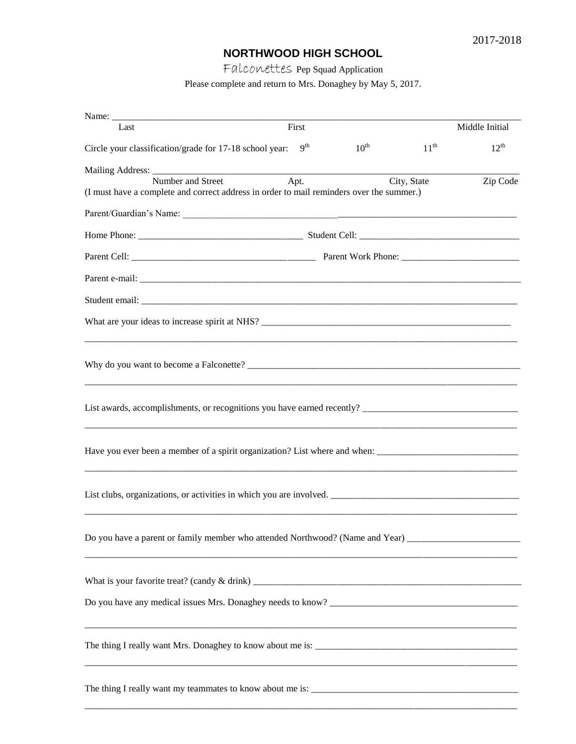## **NORTHWOOD HIGH SCHOOL**

Falconettes Pep Squad Application

Please complete and return to Mrs. Donaghey by May 5, 2017.

| Last                                                                                                           | First           |                  |             | Middle Initial |
|----------------------------------------------------------------------------------------------------------------|-----------------|------------------|-------------|----------------|
| Circle your classification/grade for 17-18 school year:                                                        | 9 <sup>th</sup> | $10^{\text{th}}$ | $11^{th}$   | $12^{th}$      |
|                                                                                                                |                 |                  |             |                |
| Number and Street<br>(I must have a complete and correct address in order to mail reminders over the summer.)  | Apt.            |                  | City, State | Zip Code       |
|                                                                                                                |                 |                  |             |                |
|                                                                                                                |                 |                  |             |                |
|                                                                                                                |                 |                  |             |                |
|                                                                                                                |                 |                  |             |                |
|                                                                                                                |                 |                  |             |                |
|                                                                                                                |                 |                  |             |                |
| Why do you want to become a Falconette?                                                                        |                 |                  |             |                |
|                                                                                                                |                 |                  |             |                |
| Have you ever been a member of a spirit organization? List where and when: ___________________________________ |                 |                  |             |                |
| List clubs, organizations, or activities in which you are involved.                                            |                 |                  |             |                |
| Do you have a parent or family member who attended Northwood? (Name and Year) _____________________            |                 |                  |             |                |
|                                                                                                                |                 |                  |             |                |
|                                                                                                                |                 |                  |             |                |
|                                                                                                                |                 |                  |             |                |
|                                                                                                                |                 |                  |             |                |